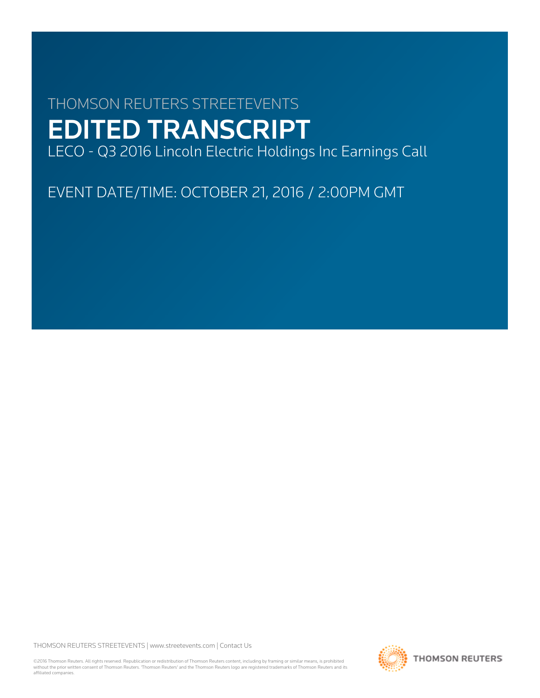# THOMSON REUTERS STREETEVENTS EDITED TRANSCRIPT LECO - Q3 2016 Lincoln Electric Holdings Inc Earnings Call

EVENT DATE/TIME: OCTOBER 21, 2016 / 2:00PM GMT

THOMSON REUTERS STREETEVENTS | [www.streetevents.com](http://www.streetevents.com) | [Contact Us](http://www010.streetevents.com/contact.asp)

©2016 Thomson Reuters. All rights reserved. Republication or redistribution of Thomson Reuters content, including by framing or similar means, is prohibited without the prior written consent of Thomson Reuters. 'Thomson Reuters' and the Thomson Reuters logo are registered trademarks of Thomson Reuters and its affiliated companies.

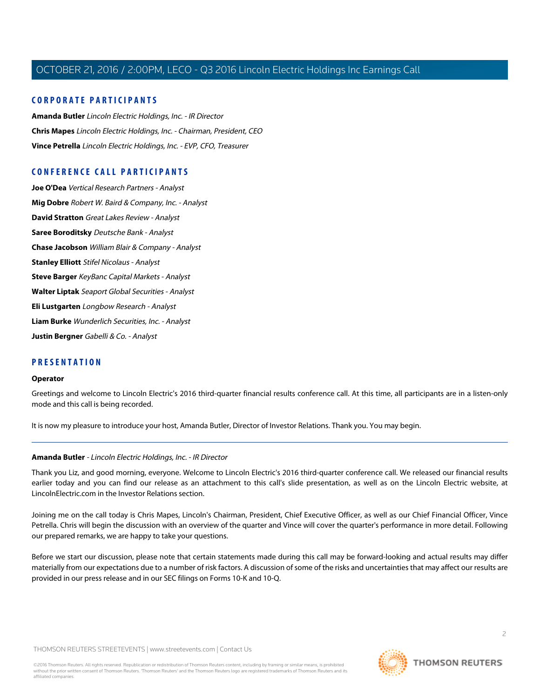# **CORPORATE PARTICIPANTS**

**[Amanda Butler](#page-1-0)** Lincoln Electric Holdings, Inc. - IR Director **[Chris Mapes](#page-2-0)** Lincoln Electric Holdings, Inc. - Chairman, President, CEO **[Vince Petrella](#page-3-0)** Lincoln Electric Holdings, Inc. - EVP, CFO, Treasurer

# **CONFERENCE CALL PARTICIPANTS**

**[Joe O'Dea](#page-5-0)** Vertical Research Partners - Analyst **[Mig Dobre](#page-6-0)** Robert W. Baird & Company, Inc. - Analyst **[David Stratton](#page-7-0)** Great Lakes Review - Analyst **[Saree Boroditsky](#page-8-0)** Deutsche Bank - Analyst **[Chase Jacobson](#page-9-0)** William Blair & Company - Analyst **[Stanley Elliott](#page-10-0)** Stifel Nicolaus - Analyst **[Steve Barger](#page-11-0)** KeyBanc Capital Markets - Analyst **[Walter Liptak](#page-13-0)** Seaport Global Securities - Analyst **[Eli Lustgarten](#page-14-0)** Longbow Research - Analyst **[Liam Burke](#page-15-0)** Wunderlich Securities, Inc. - Analyst **[Justin Bergner](#page-15-1)** Gabelli & Co. - Analyst

# **PRESENTATION**

#### **Operator**

Greetings and welcome to Lincoln Electric's 2016 third-quarter financial results conference call. At this time, all participants are in a listen-only mode and this call is being recorded.

<span id="page-1-0"></span>It is now my pleasure to introduce your host, Amanda Butler, Director of Investor Relations. Thank you. You may begin.

# **Amanda Butler** - Lincoln Electric Holdings, Inc. - IR Director

Thank you Liz, and good morning, everyone. Welcome to Lincoln Electric's 2016 third-quarter conference call. We released our financial results earlier today and you can find our release as an attachment to this call's slide presentation, as well as on the Lincoln Electric website, at LincolnElectric.com in the Investor Relations section.

Joining me on the call today is Chris Mapes, Lincoln's Chairman, President, Chief Executive Officer, as well as our Chief Financial Officer, Vince Petrella. Chris will begin the discussion with an overview of the quarter and Vince will cover the quarter's performance in more detail. Following our prepared remarks, we are happy to take your questions.

Before we start our discussion, please note that certain statements made during this call may be forward-looking and actual results may differ materially from our expectations due to a number of risk factors. A discussion of some of the risks and uncertainties that may affect our results are provided in our press release and in our SEC filings on Forms 10-K and 10-Q.

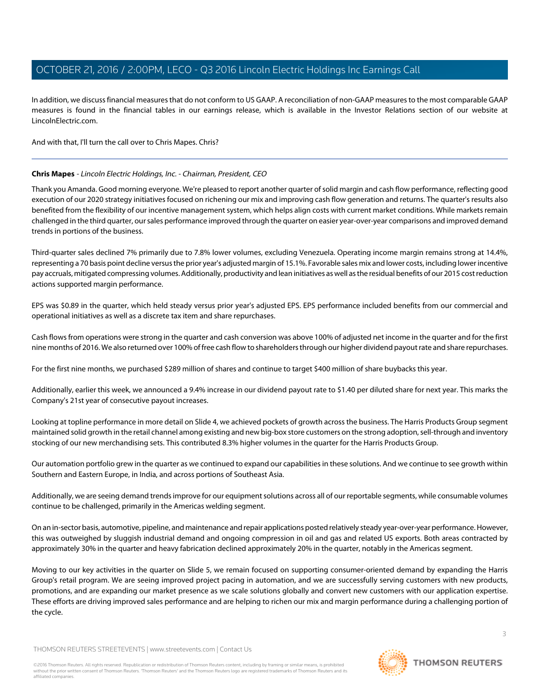In addition, we discuss financial measures that do not conform to US GAAP. A reconciliation of non-GAAP measures to the most comparable GAAP measures is found in the financial tables in our earnings release, which is available in the Investor Relations section of our website at LincolnElectric.com.

<span id="page-2-0"></span>And with that, I'll turn the call over to Chris Mapes. Chris?

# **Chris Mapes** - Lincoln Electric Holdings, Inc. - Chairman, President, CEO

Thank you Amanda. Good morning everyone. We're pleased to report another quarter of solid margin and cash flow performance, reflecting good execution of our 2020 strategy initiatives focused on richening our mix and improving cash flow generation and returns. The quarter's results also benefited from the flexibility of our incentive management system, which helps align costs with current market conditions. While markets remain challenged in the third quarter, our sales performance improved through the quarter on easier year-over-year comparisons and improved demand trends in portions of the business.

Third-quarter sales declined 7% primarily due to 7.8% lower volumes, excluding Venezuela. Operating income margin remains strong at 14.4%, representing a 70 basis point decline versus the prior year's adjusted margin of 15.1%. Favorable sales mix and lower costs, including lower incentive pay accruals, mitigated compressing volumes. Additionally, productivity and lean initiatives as well as the residual benefits of our 2015 cost reduction actions supported margin performance.

EPS was \$0.89 in the quarter, which held steady versus prior year's adjusted EPS. EPS performance included benefits from our commercial and operational initiatives as well as a discrete tax item and share repurchases.

Cash flows from operations were strong in the quarter and cash conversion was above 100% of adjusted net income in the quarter and for the first nine months of 2016. We also returned over 100% of free cash flow to shareholders through our higher dividend payout rate and share repurchases.

For the first nine months, we purchased \$289 million of shares and continue to target \$400 million of share buybacks this year.

Additionally, earlier this week, we announced a 9.4% increase in our dividend payout rate to \$1.40 per diluted share for next year. This marks the Company's 21st year of consecutive payout increases.

Looking at topline performance in more detail on Slide 4, we achieved pockets of growth across the business. The Harris Products Group segment maintained solid growth in the retail channel among existing and new big-box store customers on the strong adoption, sell-through and inventory stocking of our new merchandising sets. This contributed 8.3% higher volumes in the quarter for the Harris Products Group.

Our automation portfolio grew in the quarter as we continued to expand our capabilities in these solutions. And we continue to see growth within Southern and Eastern Europe, in India, and across portions of Southeast Asia.

Additionally, we are seeing demand trends improve for our equipment solutions across all of our reportable segments, while consumable volumes continue to be challenged, primarily in the Americas welding segment.

On an in-sector basis, automotive, pipeline, and maintenance and repair applications posted relatively steady year-over-year performance. However, this was outweighed by sluggish industrial demand and ongoing compression in oil and gas and related US exports. Both areas contracted by approximately 30% in the quarter and heavy fabrication declined approximately 20% in the quarter, notably in the Americas segment.

Moving to our key activities in the quarter on Slide 5, we remain focused on supporting consumer-oriented demand by expanding the Harris Group's retail program. We are seeing improved project pacing in automation, and we are successfully serving customers with new products, promotions, and are expanding our market presence as we scale solutions globally and convert new customers with our application expertise. These efforts are driving improved sales performance and are helping to richen our mix and margin performance during a challenging portion of the cycle.

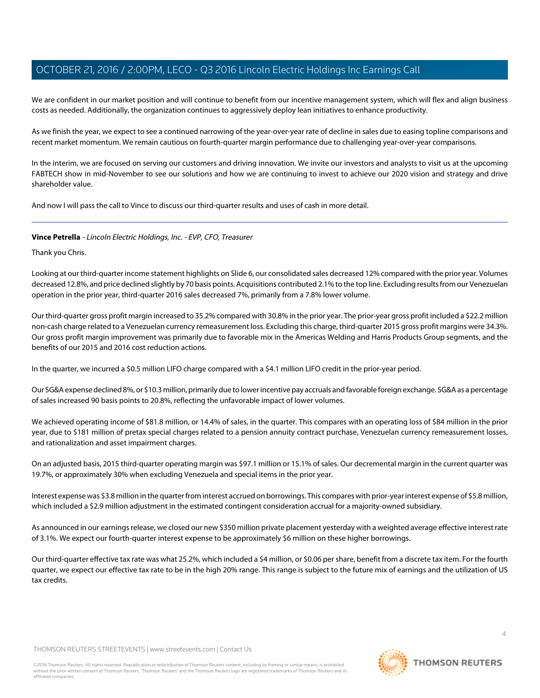We are confident in our market position and will continue to benefit from our incentive management system, which will flex and align business costs as needed. Additionally, the organization continues to aggressively deploy lean initiatives to enhance productivity.

As we finish the year, we expect to see a continued narrowing of the year-over-year rate of decline in sales due to easing topline comparisons and recent market momentum. We remain cautious on fourth-quarter margin performance due to challenging year-over-year comparisons.

In the interim, we are focused on serving our customers and driving innovation. We invite our investors and analysts to visit us at the upcoming FABTECH show in mid-November to see our solutions and how we are continuing to invest to achieve our 2020 vision and strategy and drive shareholder value.

<span id="page-3-0"></span>And now I will pass the call to Vince to discuss our third-quarter results and uses of cash in more detail.

# **Vince Petrella** - Lincoln Electric Holdings, Inc. - EVP, CFO, Treasurer

Thank you Chris.

Looking at our third-quarter income statement highlights on Slide 6, our consolidated sales decreased 12% compared with the prior year. Volumes decreased 12.8%, and price declined slightly by 70 basis points. Acquisitions contributed 2.1% to the top line. Excluding results from our Venezuelan operation in the prior year, third-quarter 2016 sales decreased 7%, primarily from a 7.8% lower volume.

Our third-quarter gross profit margin increased to 35.2% compared with 30.8% in the prior year. The prior-year gross profit included a \$22.2 million non-cash charge related to a Venezuelan currency remeasurement loss. Excluding this charge, third-quarter 2015 gross profit margins were 34.3%. Our gross profit margin improvement was primarily due to favorable mix in the Americas Welding and Harris Products Group segments, and the benefits of our 2015 and 2016 cost reduction actions.

In the quarter, we incurred a \$0.5 million LIFO charge compared with a \$4.1 million LIFO credit in the prior-year period.

Our SG&A expense declined 8%, or \$10.3 million, primarily due to lower incentive pay accruals and favorable foreign exchange. SG&A as a percentage of sales increased 90 basis points to 20.8%, reflecting the unfavorable impact of lower volumes.

We achieved operating income of \$81.8 million, or 14.4% of sales, in the quarter. This compares with an operating loss of \$84 million in the prior year, due to \$181 million of pretax special charges related to a pension annuity contract purchase, Venezuelan currency remeasurement losses, and rationalization and asset impairment charges.

On an adjusted basis, 2015 third-quarter operating margin was \$97.1 million or 15.1% of sales. Our decremental margin in the current quarter was 19.7%, or approximately 30% when excluding Venezuela and special items in the prior year.

Interest expense was \$3.8 million in the quarter from interest accrued on borrowings. This compares with prior-year interest expense of \$5.8 million, which included a \$2.9 million adjustment in the estimated contingent consideration accrual for a majority-owned subsidiary.

As announced in our earnings release, we closed our new \$350 million private placement yesterday with a weighted average effective interest rate of 3.1%. We expect our fourth-quarter interest expense to be approximately \$6 million on these higher borrowings.

Our third-quarter effective tax rate was what 25.2%, which included a \$4 million, or \$0.06 per share, benefit from a discrete tax item. For the fourth quarter, we expect our effective tax rate to be in the high 20% range. This range is subject to the future mix of earnings and the utilization of US tax credits.

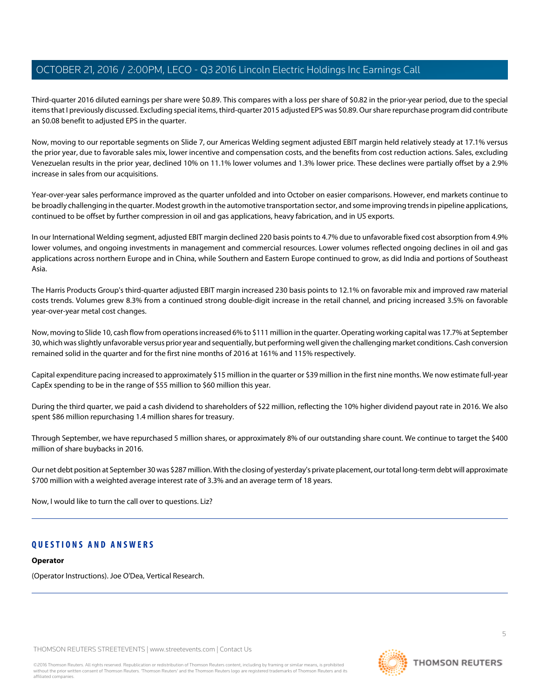Third-quarter 2016 diluted earnings per share were \$0.89. This compares with a loss per share of \$0.82 in the prior-year period, due to the special items that I previously discussed. Excluding special items, third-quarter 2015 adjusted EPS was \$0.89. Our share repurchase program did contribute an \$0.08 benefit to adjusted EPS in the quarter.

Now, moving to our reportable segments on Slide 7, our Americas Welding segment adjusted EBIT margin held relatively steady at 17.1% versus the prior year, due to favorable sales mix, lower incentive and compensation costs, and the benefits from cost reduction actions. Sales, excluding Venezuelan results in the prior year, declined 10% on 11.1% lower volumes and 1.3% lower price. These declines were partially offset by a 2.9% increase in sales from our acquisitions.

Year-over-year sales performance improved as the quarter unfolded and into October on easier comparisons. However, end markets continue to be broadly challenging in the quarter. Modest growth in the automotive transportation sector, and some improving trends in pipeline applications, continued to be offset by further compression in oil and gas applications, heavy fabrication, and in US exports.

In our International Welding segment, adjusted EBIT margin declined 220 basis points to 4.7% due to unfavorable fixed cost absorption from 4.9% lower volumes, and ongoing investments in management and commercial resources. Lower volumes reflected ongoing declines in oil and gas applications across northern Europe and in China, while Southern and Eastern Europe continued to grow, as did India and portions of Southeast Asia.

The Harris Products Group's third-quarter adjusted EBIT margin increased 230 basis points to 12.1% on favorable mix and improved raw material costs trends. Volumes grew 8.3% from a continued strong double-digit increase in the retail channel, and pricing increased 3.5% on favorable year-over-year metal cost changes.

Now, moving to Slide 10, cash flow from operations increased 6% to \$111 million in the quarter. Operating working capital was 17.7% at September 30, which was slightly unfavorable versus prior year and sequentially, but performing well given the challenging market conditions. Cash conversion remained solid in the quarter and for the first nine months of 2016 at 161% and 115% respectively.

Capital expenditure pacing increased to approximately \$15 million in the quarter or \$39 million in the first nine months. We now estimate full-year CapEx spending to be in the range of \$55 million to \$60 million this year.

During the third quarter, we paid a cash dividend to shareholders of \$22 million, reflecting the 10% higher dividend payout rate in 2016. We also spent \$86 million repurchasing 1.4 million shares for treasury.

Through September, we have repurchased 5 million shares, or approximately 8% of our outstanding share count. We continue to target the \$400 million of share buybacks in 2016.

Our net debt position at September 30 was \$287 million. With the closing of yesterday's private placement, our total long-term debt will approximate \$700 million with a weighted average interest rate of 3.3% and an average term of 18 years.

Now, I would like to turn the call over to questions. Liz?

# **QUESTIONS AND ANSWERS**

#### **Operator**

(Operator Instructions). Joe O'Dea, Vertical Research.

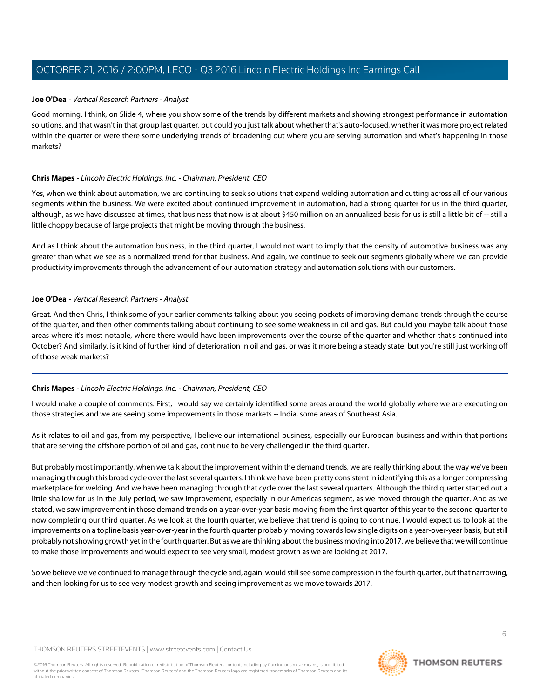## <span id="page-5-0"></span>**Joe O'Dea** - Vertical Research Partners - Analyst

Good morning. I think, on Slide 4, where you show some of the trends by different markets and showing strongest performance in automation solutions, and that wasn't in that group last quarter, but could you just talk about whether that's auto-focused, whether it was more project related within the quarter or were there some underlying trends of broadening out where you are serving automation and what's happening in those markets?

#### **Chris Mapes** - Lincoln Electric Holdings, Inc. - Chairman, President, CEO

Yes, when we think about automation, we are continuing to seek solutions that expand welding automation and cutting across all of our various segments within the business. We were excited about continued improvement in automation, had a strong quarter for us in the third quarter, although, as we have discussed at times, that business that now is at about \$450 million on an annualized basis for us is still a little bit of -- still a little choppy because of large projects that might be moving through the business.

And as I think about the automation business, in the third quarter, I would not want to imply that the density of automotive business was any greater than what we see as a normalized trend for that business. And again, we continue to seek out segments globally where we can provide productivity improvements through the advancement of our automation strategy and automation solutions with our customers.

# **Joe O'Dea** - Vertical Research Partners - Analyst

Great. And then Chris, I think some of your earlier comments talking about you seeing pockets of improving demand trends through the course of the quarter, and then other comments talking about continuing to see some weakness in oil and gas. But could you maybe talk about those areas where it's most notable, where there would have been improvements over the course of the quarter and whether that's continued into October? And similarly, is it kind of further kind of deterioration in oil and gas, or was it more being a steady state, but you're still just working off of those weak markets?

# **Chris Mapes** - Lincoln Electric Holdings, Inc. - Chairman, President, CEO

I would make a couple of comments. First, I would say we certainly identified some areas around the world globally where we are executing on those strategies and we are seeing some improvements in those markets -- India, some areas of Southeast Asia.

As it relates to oil and gas, from my perspective, I believe our international business, especially our European business and within that portions that are serving the offshore portion of oil and gas, continue to be very challenged in the third quarter.

But probably most importantly, when we talk about the improvement within the demand trends, we are really thinking about the way we've been managing through this broad cycle over the last several quarters. I think we have been pretty consistent in identifying this as a longer compressing marketplace for welding. And we have been managing through that cycle over the last several quarters. Although the third quarter started out a little shallow for us in the July period, we saw improvement, especially in our Americas segment, as we moved through the quarter. And as we stated, we saw improvement in those demand trends on a year-over-year basis moving from the first quarter of this year to the second quarter to now completing our third quarter. As we look at the fourth quarter, we believe that trend is going to continue. I would expect us to look at the improvements on a topline basis year-over-year in the fourth quarter probably moving towards low single digits on a year-over-year basis, but still probably not showing growth yet in the fourth quarter. But as we are thinking about the business moving into 2017, we believe that we will continue to make those improvements and would expect to see very small, modest growth as we are looking at 2017.

So we believe we've continued to manage through the cycle and, again, would still see some compression in the fourth quarter, but that narrowing, and then looking for us to see very modest growth and seeing improvement as we move towards 2017.

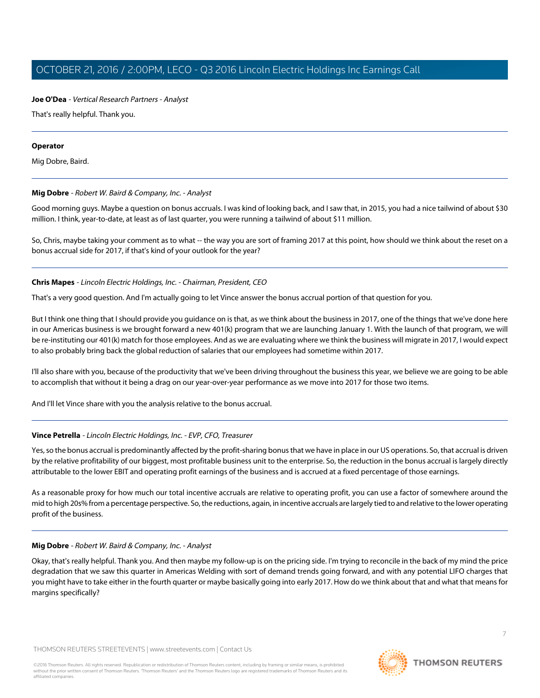# **Joe O'Dea** - Vertical Research Partners - Analyst

That's really helpful. Thank you.

#### **Operator**

<span id="page-6-0"></span>Mig Dobre, Baird.

# **Mig Dobre** - Robert W. Baird & Company, Inc. - Analyst

Good morning guys. Maybe a question on bonus accruals. I was kind of looking back, and I saw that, in 2015, you had a nice tailwind of about \$30 million. I think, year-to-date, at least as of last quarter, you were running a tailwind of about \$11 million.

So, Chris, maybe taking your comment as to what -- the way you are sort of framing 2017 at this point, how should we think about the reset on a bonus accrual side for 2017, if that's kind of your outlook for the year?

# **Chris Mapes** - Lincoln Electric Holdings, Inc. - Chairman, President, CEO

That's a very good question. And I'm actually going to let Vince answer the bonus accrual portion of that question for you.

But I think one thing that I should provide you guidance on is that, as we think about the business in 2017, one of the things that we've done here in our Americas business is we brought forward a new 401(k) program that we are launching January 1. With the launch of that program, we will be re-instituting our 401(k) match for those employees. And as we are evaluating where we think the business will migrate in 2017, I would expect to also probably bring back the global reduction of salaries that our employees had sometime within 2017.

I'll also share with you, because of the productivity that we've been driving throughout the business this year, we believe we are going to be able to accomplish that without it being a drag on our year-over-year performance as we move into 2017 for those two items.

And I'll let Vince share with you the analysis relative to the bonus accrual.

# **Vince Petrella** - Lincoln Electric Holdings, Inc. - EVP, CFO, Treasurer

Yes, so the bonus accrual is predominantly affected by the profit-sharing bonus that we have in place in our US operations. So, that accrual is driven by the relative profitability of our biggest, most profitable business unit to the enterprise. So, the reduction in the bonus accrual is largely directly attributable to the lower EBIT and operating profit earnings of the business and is accrued at a fixed percentage of those earnings.

As a reasonable proxy for how much our total incentive accruals are relative to operating profit, you can use a factor of somewhere around the mid to high 20s% from a percentage perspective. So, the reductions, again, in incentive accruals are largely tied to and relative to the lower operating profit of the business.

# **Mig Dobre** - Robert W. Baird & Company, Inc. - Analyst

Okay, that's really helpful. Thank you. And then maybe my follow-up is on the pricing side. I'm trying to reconcile in the back of my mind the price degradation that we saw this quarter in Americas Welding with sort of demand trends going forward, and with any potential LIFO charges that you might have to take either in the fourth quarter or maybe basically going into early 2017. How do we think about that and what that means for margins specifically?

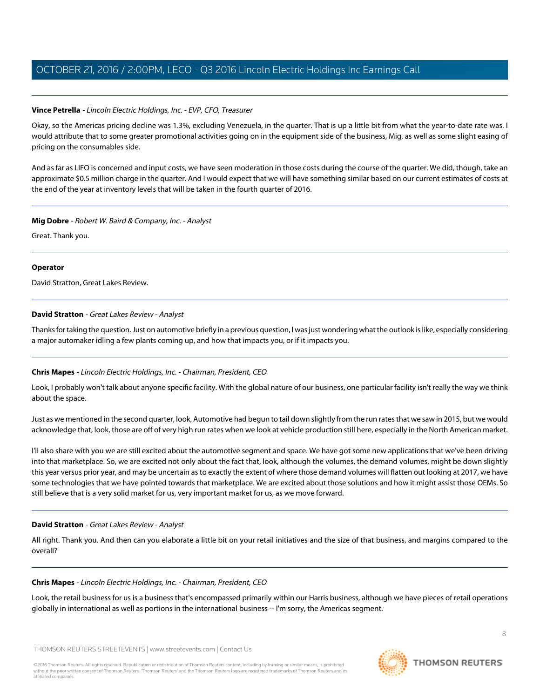# **Vince Petrella** - Lincoln Electric Holdings, Inc. - EVP, CFO, Treasurer

Okay, so the Americas pricing decline was 1.3%, excluding Venezuela, in the quarter. That is up a little bit from what the year-to-date rate was. I would attribute that to some greater promotional activities going on in the equipment side of the business, Mig, as well as some slight easing of pricing on the consumables side.

And as far as LIFO is concerned and input costs, we have seen moderation in those costs during the course of the quarter. We did, though, take an approximate \$0.5 million charge in the quarter. And I would expect that we will have something similar based on our current estimates of costs at the end of the year at inventory levels that will be taken in the fourth quarter of 2016.

#### **Mig Dobre** - Robert W. Baird & Company, Inc. - Analyst

Great. Thank you.

# **Operator**

<span id="page-7-0"></span>David Stratton, Great Lakes Review.

# **David Stratton** - Great Lakes Review - Analyst

Thanks for taking the question. Just on automotive briefly in a previous question, I was just wondering what the outlook is like, especially considering a major automaker idling a few plants coming up, and how that impacts you, or if it impacts you.

# **Chris Mapes** - Lincoln Electric Holdings, Inc. - Chairman, President, CEO

Look, I probably won't talk about anyone specific facility. With the global nature of our business, one particular facility isn't really the way we think about the space.

Just as we mentioned in the second quarter, look, Automotive had begun to tail down slightly from the run rates that we saw in 2015, but we would acknowledge that, look, those are off of very high run rates when we look at vehicle production still here, especially in the North American market.

I'll also share with you we are still excited about the automotive segment and space. We have got some new applications that we've been driving into that marketplace. So, we are excited not only about the fact that, look, although the volumes, the demand volumes, might be down slightly this year versus prior year, and may be uncertain as to exactly the extent of where those demand volumes will flatten out looking at 2017, we have some technologies that we have pointed towards that marketplace. We are excited about those solutions and how it might assist those OEMs. So still believe that is a very solid market for us, very important market for us, as we move forward.

# **David Stratton** - Great Lakes Review - Analyst

All right. Thank you. And then can you elaborate a little bit on your retail initiatives and the size of that business, and margins compared to the overall?

# **Chris Mapes** - Lincoln Electric Holdings, Inc. - Chairman, President, CEO

Look, the retail business for us is a business that's encompassed primarily within our Harris business, although we have pieces of retail operations globally in international as well as portions in the international business -- I'm sorry, the Americas segment.

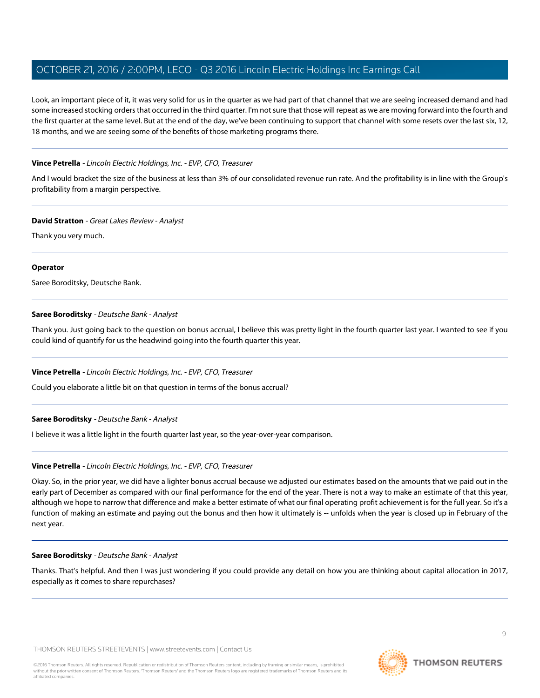Look, an important piece of it, it was very solid for us in the quarter as we had part of that channel that we are seeing increased demand and had some increased stocking orders that occurred in the third quarter. I'm not sure that those will repeat as we are moving forward into the fourth and the first quarter at the same level. But at the end of the day, we've been continuing to support that channel with some resets over the last six, 12, 18 months, and we are seeing some of the benefits of those marketing programs there.

## **Vince Petrella** - Lincoln Electric Holdings, Inc. - EVP, CFO, Treasurer

And I would bracket the size of the business at less than 3% of our consolidated revenue run rate. And the profitability is in line with the Group's profitability from a margin perspective.

#### **David Stratton** - Great Lakes Review - Analyst

Thank you very much.

#### **Operator**

<span id="page-8-0"></span>Saree Boroditsky, Deutsche Bank.

# **Saree Boroditsky** - Deutsche Bank - Analyst

Thank you. Just going back to the question on bonus accrual, I believe this was pretty light in the fourth quarter last year. I wanted to see if you could kind of quantify for us the headwind going into the fourth quarter this year.

# **Vince Petrella** - Lincoln Electric Holdings, Inc. - EVP, CFO, Treasurer

Could you elaborate a little bit on that question in terms of the bonus accrual?

# **Saree Boroditsky** - Deutsche Bank - Analyst

I believe it was a little light in the fourth quarter last year, so the year-over-year comparison.

# **Vince Petrella** - Lincoln Electric Holdings, Inc. - EVP, CFO, Treasurer

Okay. So, in the prior year, we did have a lighter bonus accrual because we adjusted our estimates based on the amounts that we paid out in the early part of December as compared with our final performance for the end of the year. There is not a way to make an estimate of that this year, although we hope to narrow that difference and make a better estimate of what our final operating profit achievement is for the full year. So it's a function of making an estimate and paying out the bonus and then how it ultimately is -- unfolds when the year is closed up in February of the next year.

#### **Saree Boroditsky** - Deutsche Bank - Analyst

Thanks. That's helpful. And then I was just wondering if you could provide any detail on how you are thinking about capital allocation in 2017, especially as it comes to share repurchases?

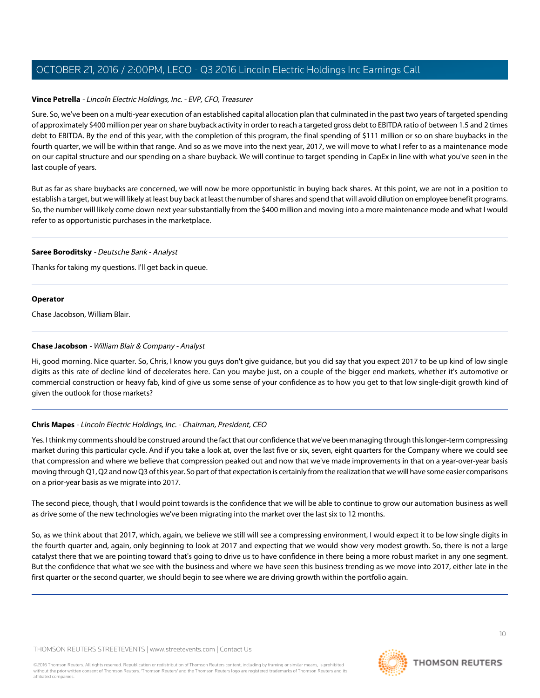#### **Vince Petrella** - Lincoln Electric Holdings, Inc. - EVP, CFO, Treasurer

Sure. So, we've been on a multi-year execution of an established capital allocation plan that culminated in the past two years of targeted spending of approximately \$400 million per year on share buyback activity in order to reach a targeted gross debt to EBITDA ratio of between 1.5 and 2 times debt to EBITDA. By the end of this year, with the completion of this program, the final spending of \$111 million or so on share buybacks in the fourth quarter, we will be within that range. And so as we move into the next year, 2017, we will move to what I refer to as a maintenance mode on our capital structure and our spending on a share buyback. We will continue to target spending in CapEx in line with what you've seen in the last couple of years.

But as far as share buybacks are concerned, we will now be more opportunistic in buying back shares. At this point, we are not in a position to establish a target, but we will likely at least buy back at least the number of shares and spend that will avoid dilution on employee benefit programs. So, the number will likely come down next year substantially from the \$400 million and moving into a more maintenance mode and what I would refer to as opportunistic purchases in the marketplace.

#### **Saree Boroditsky** - Deutsche Bank - Analyst

Thanks for taking my questions. I'll get back in queue.

#### **Operator**

<span id="page-9-0"></span>Chase Jacobson, William Blair.

#### **Chase Jacobson** - William Blair & Company - Analyst

Hi, good morning. Nice quarter. So, Chris, I know you guys don't give guidance, but you did say that you expect 2017 to be up kind of low single digits as this rate of decline kind of decelerates here. Can you maybe just, on a couple of the bigger end markets, whether it's automotive or commercial construction or heavy fab, kind of give us some sense of your confidence as to how you get to that low single-digit growth kind of given the outlook for those markets?

# **Chris Mapes** - Lincoln Electric Holdings, Inc. - Chairman, President, CEO

Yes. I think my comments should be construed around the fact that our confidence that we've been managing through this longer-term compressing market during this particular cycle. And if you take a look at, over the last five or six, seven, eight quarters for the Company where we could see that compression and where we believe that compression peaked out and now that we've made improvements in that on a year-over-year basis moving through Q1, Q2 and now Q3 of this year. So part of that expectation is certainly from the realization that we will have some easier comparisons on a prior-year basis as we migrate into 2017.

The second piece, though, that I would point towards is the confidence that we will be able to continue to grow our automation business as well as drive some of the new technologies we've been migrating into the market over the last six to 12 months.

So, as we think about that 2017, which, again, we believe we still will see a compressing environment, I would expect it to be low single digits in the fourth quarter and, again, only beginning to look at 2017 and expecting that we would show very modest growth. So, there is not a large catalyst there that we are pointing toward that's going to drive us to have confidence in there being a more robust market in any one segment. But the confidence that what we see with the business and where we have seen this business trending as we move into 2017, either late in the first quarter or the second quarter, we should begin to see where we are driving growth within the portfolio again.

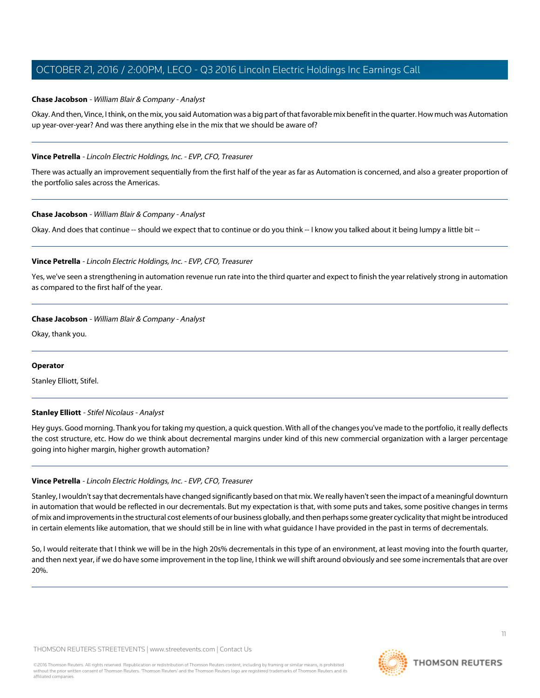## **Chase Jacobson** - William Blair & Company - Analyst

Okay. And then, Vince, I think, on the mix, you said Automation was a big part of that favorable mix benefit in the quarter. How much was Automation up year-over-year? And was there anything else in the mix that we should be aware of?

## **Vince Petrella** - Lincoln Electric Holdings, Inc. - EVP, CFO, Treasurer

There was actually an improvement sequentially from the first half of the year as far as Automation is concerned, and also a greater proportion of the portfolio sales across the Americas.

#### **Chase Jacobson** - William Blair & Company - Analyst

Okay. And does that continue -- should we expect that to continue or do you think -- I know you talked about it being lumpy a little bit --

#### **Vince Petrella** - Lincoln Electric Holdings, Inc. - EVP, CFO, Treasurer

Yes, we've seen a strengthening in automation revenue run rate into the third quarter and expect to finish the year relatively strong in automation as compared to the first half of the year.

#### **Chase Jacobson** - William Blair & Company - Analyst

Okay, thank you.

#### <span id="page-10-0"></span>**Operator**

Stanley Elliott, Stifel.

#### **Stanley Elliott** - Stifel Nicolaus - Analyst

Hey guys. Good morning. Thank you for taking my question, a quick question. With all of the changes you've made to the portfolio, it really deflects the cost structure, etc. How do we think about decremental margins under kind of this new commercial organization with a larger percentage going into higher margin, higher growth automation?

#### **Vince Petrella** - Lincoln Electric Holdings, Inc. - EVP, CFO, Treasurer

Stanley, I wouldn't say that decrementals have changed significantly based on that mix. We really haven't seen the impact of a meaningful downturn in automation that would be reflected in our decrementals. But my expectation is that, with some puts and takes, some positive changes in terms of mix and improvements in the structural cost elements of our business globally, and then perhaps some greater cyclicality that might be introduced in certain elements like automation, that we should still be in line with what guidance I have provided in the past in terms of decrementals.

So, I would reiterate that I think we will be in the high 20s% decrementals in this type of an environment, at least moving into the fourth quarter, and then next year, if we do have some improvement in the top line, I think we will shift around obviously and see some incrementals that are over 20%.

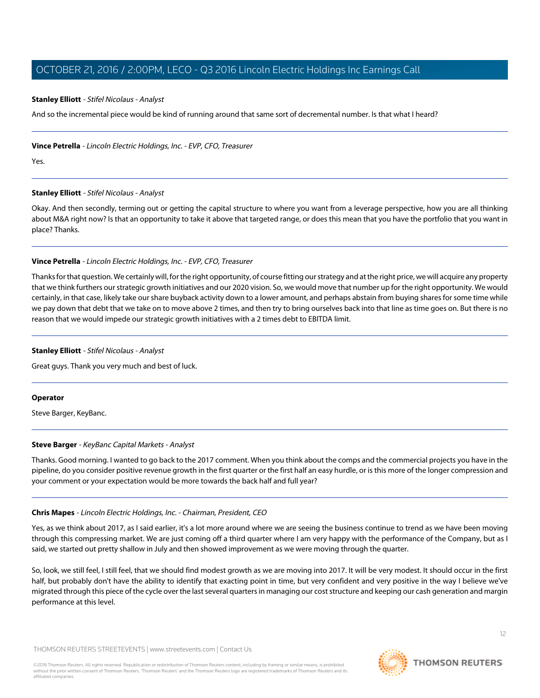#### **Stanley Elliott** - Stifel Nicolaus - Analyst

And so the incremental piece would be kind of running around that same sort of decremental number. Is that what I heard?

#### **Vince Petrella** - Lincoln Electric Holdings, Inc. - EVP, CFO, Treasurer

Yes.

#### **Stanley Elliott** - Stifel Nicolaus - Analyst

Okay. And then secondly, terming out or getting the capital structure to where you want from a leverage perspective, how you are all thinking about M&A right now? Is that an opportunity to take it above that targeted range, or does this mean that you have the portfolio that you want in place? Thanks.

#### **Vince Petrella** - Lincoln Electric Holdings, Inc. - EVP, CFO, Treasurer

Thanks for that question. We certainly will, for the right opportunity, of course fitting our strategy and at the right price, we will acquire any property that we think furthers our strategic growth initiatives and our 2020 vision. So, we would move that number up for the right opportunity. We would certainly, in that case, likely take our share buyback activity down to a lower amount, and perhaps abstain from buying shares for some time while we pay down that debt that we take on to move above 2 times, and then try to bring ourselves back into that line as time goes on. But there is no reason that we would impede our strategic growth initiatives with a 2 times debt to EBITDA limit.

#### **Stanley Elliott** - Stifel Nicolaus - Analyst

Great guys. Thank you very much and best of luck.

#### <span id="page-11-0"></span>**Operator**

Steve Barger, KeyBanc.

# **Steve Barger** - KeyBanc Capital Markets - Analyst

Thanks. Good morning. I wanted to go back to the 2017 comment. When you think about the comps and the commercial projects you have in the pipeline, do you consider positive revenue growth in the first quarter or the first half an easy hurdle, or is this more of the longer compression and your comment or your expectation would be more towards the back half and full year?

#### **Chris Mapes** - Lincoln Electric Holdings, Inc. - Chairman, President, CEO

Yes, as we think about 2017, as I said earlier, it's a lot more around where we are seeing the business continue to trend as we have been moving through this compressing market. We are just coming off a third quarter where I am very happy with the performance of the Company, but as I said, we started out pretty shallow in July and then showed improvement as we were moving through the quarter.

So, look, we still feel, I still feel, that we should find modest growth as we are moving into 2017. It will be very modest. It should occur in the first half, but probably don't have the ability to identify that exacting point in time, but very confident and very positive in the way I believe we've migrated through this piece of the cycle over the last several quarters in managing our cost structure and keeping our cash generation and margin performance at this level.

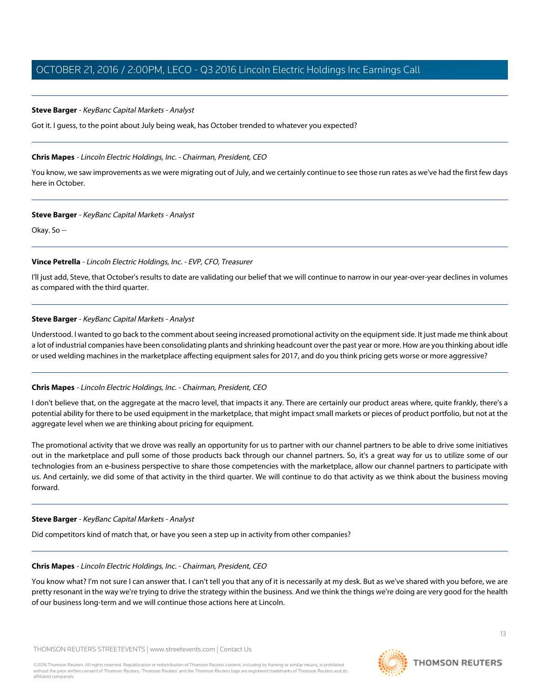#### **Steve Barger** - KeyBanc Capital Markets - Analyst

Got it. I guess, to the point about July being weak, has October trended to whatever you expected?

#### **Chris Mapes** - Lincoln Electric Holdings, Inc. - Chairman, President, CEO

You know, we saw improvements as we were migrating out of July, and we certainly continue to see those run rates as we've had the first few days here in October.

#### **Steve Barger** - KeyBanc Capital Markets - Analyst

Okay. So --

#### **Vince Petrella** - Lincoln Electric Holdings, Inc. - EVP, CFO, Treasurer

I'll just add, Steve, that October's results to date are validating our belief that we will continue to narrow in our year-over-year declines in volumes as compared with the third quarter.

#### **Steve Barger** - KeyBanc Capital Markets - Analyst

Understood. I wanted to go back to the comment about seeing increased promotional activity on the equipment side. It just made me think about a lot of industrial companies have been consolidating plants and shrinking headcount over the past year or more. How are you thinking about idle or used welding machines in the marketplace affecting equipment sales for 2017, and do you think pricing gets worse or more aggressive?

# **Chris Mapes** - Lincoln Electric Holdings, Inc. - Chairman, President, CEO

I don't believe that, on the aggregate at the macro level, that impacts it any. There are certainly our product areas where, quite frankly, there's a potential ability for there to be used equipment in the marketplace, that might impact small markets or pieces of product portfolio, but not at the aggregate level when we are thinking about pricing for equipment.

The promotional activity that we drove was really an opportunity for us to partner with our channel partners to be able to drive some initiatives out in the marketplace and pull some of those products back through our channel partners. So, it's a great way for us to utilize some of our technologies from an e-business perspective to share those competencies with the marketplace, allow our channel partners to participate with us. And certainly, we did some of that activity in the third quarter. We will continue to do that activity as we think about the business moving forward.

# **Steve Barger** - KeyBanc Capital Markets - Analyst

Did competitors kind of match that, or have you seen a step up in activity from other companies?

# **Chris Mapes** - Lincoln Electric Holdings, Inc. - Chairman, President, CEO

You know what? I'm not sure I can answer that. I can't tell you that any of it is necessarily at my desk. But as we've shared with you before, we are pretty resonant in the way we're trying to drive the strategy within the business. And we think the things we're doing are very good for the health of our business long-term and we will continue those actions here at Lincoln.

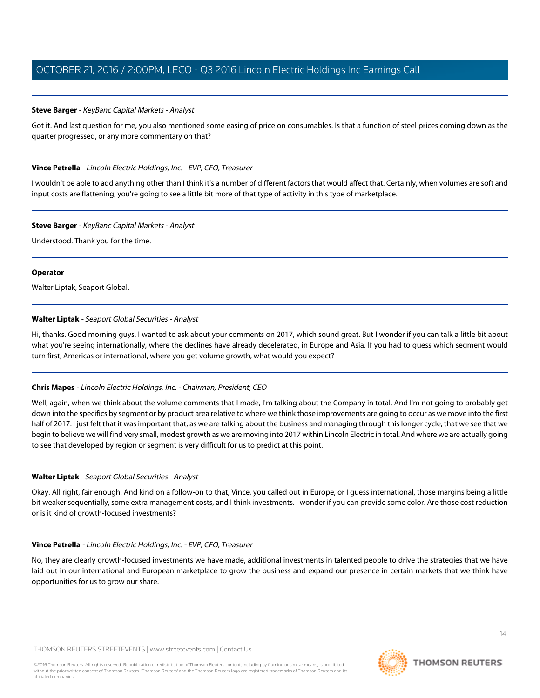## **Steve Barger** - KeyBanc Capital Markets - Analyst

Got it. And last question for me, you also mentioned some easing of price on consumables. Is that a function of steel prices coming down as the quarter progressed, or any more commentary on that?

#### **Vince Petrella** - Lincoln Electric Holdings, Inc. - EVP, CFO, Treasurer

I wouldn't be able to add anything other than I think it's a number of different factors that would affect that. Certainly, when volumes are soft and input costs are flattening, you're going to see a little bit more of that type of activity in this type of marketplace.

#### **Steve Barger** - KeyBanc Capital Markets - Analyst

Understood. Thank you for the time.

#### **Operator**

<span id="page-13-0"></span>Walter Liptak, Seaport Global.

# **Walter Liptak** - Seaport Global Securities - Analyst

Hi, thanks. Good morning guys. I wanted to ask about your comments on 2017, which sound great. But I wonder if you can talk a little bit about what you're seeing internationally, where the declines have already decelerated, in Europe and Asia. If you had to guess which segment would turn first, Americas or international, where you get volume growth, what would you expect?

# **Chris Mapes** - Lincoln Electric Holdings, Inc. - Chairman, President, CEO

Well, again, when we think about the volume comments that I made, I'm talking about the Company in total. And I'm not going to probably get down into the specifics by segment or by product area relative to where we think those improvements are going to occur as we move into the first half of 2017. I just felt that it was important that, as we are talking about the business and managing through this longer cycle, that we see that we begin to believe we will find very small, modest growth as we are moving into 2017 within Lincoln Electric in total. And where we are actually going to see that developed by region or segment is very difficult for us to predict at this point.

#### **Walter Liptak** - Seaport Global Securities - Analyst

Okay. All right, fair enough. And kind on a follow-on to that, Vince, you called out in Europe, or I guess international, those margins being a little bit weaker sequentially, some extra management costs, and I think investments. I wonder if you can provide some color. Are those cost reduction or is it kind of growth-focused investments?

# **Vince Petrella** - Lincoln Electric Holdings, Inc. - EVP, CFO, Treasurer

No, they are clearly growth-focused investments we have made, additional investments in talented people to drive the strategies that we have laid out in our international and European marketplace to grow the business and expand our presence in certain markets that we think have opportunities for us to grow our share.

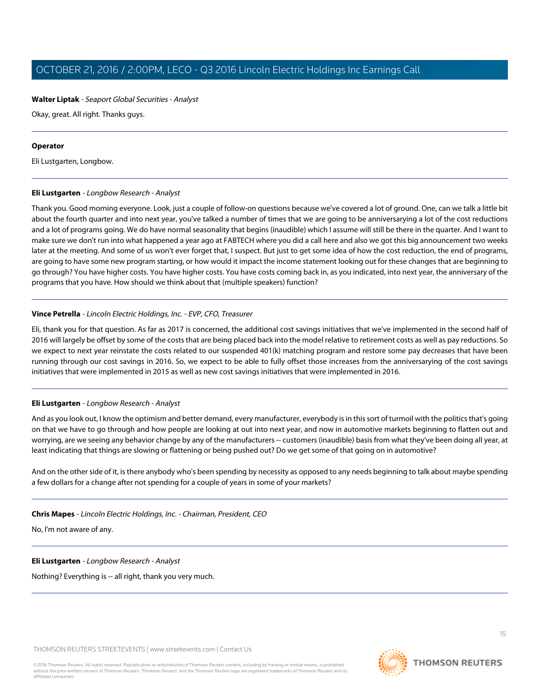# **Walter Liptak** - Seaport Global Securities - Analyst

Okay, great. All right. Thanks guys.

#### **Operator**

<span id="page-14-0"></span>Eli Lustgarten, Longbow.

# **Eli Lustgarten** - Longbow Research - Analyst

Thank you. Good morning everyone. Look, just a couple of follow-on questions because we've covered a lot of ground. One, can we talk a little bit about the fourth quarter and into next year, you've talked a number of times that we are going to be anniversarying a lot of the cost reductions and a lot of programs going. We do have normal seasonality that begins (inaudible) which I assume will still be there in the quarter. And I want to make sure we don't run into what happened a year ago at FABTECH where you did a call here and also we got this big announcement two weeks later at the meeting. And some of us won't ever forget that, I suspect. But just to get some idea of how the cost reduction, the end of programs, are going to have some new program starting, or how would it impact the income statement looking out for these changes that are beginning to go through? You have higher costs. You have higher costs. You have costs coming back in, as you indicated, into next year, the anniversary of the programs that you have. How should we think about that (multiple speakers) function?

# **Vince Petrella** - Lincoln Electric Holdings, Inc. - EVP, CFO, Treasurer

Eli, thank you for that question. As far as 2017 is concerned, the additional cost savings initiatives that we've implemented in the second half of 2016 will largely be offset by some of the costs that are being placed back into the model relative to retirement costs as well as pay reductions. So we expect to next year reinstate the costs related to our suspended 401(k) matching program and restore some pay decreases that have been running through our cost savings in 2016. So, we expect to be able to fully offset those increases from the anniversarying of the cost savings initiatives that were implemented in 2015 as well as new cost savings initiatives that were implemented in 2016.

# **Eli Lustgarten** - Longbow Research - Analyst

And as you look out, I know the optimism and better demand, every manufacturer, everybody is in this sort of turmoil with the politics that's going on that we have to go through and how people are looking at out into next year, and now in automotive markets beginning to flatten out and worrying, are we seeing any behavior change by any of the manufacturers -- customers (inaudible) basis from what they've been doing all year, at least indicating that things are slowing or flattening or being pushed out? Do we get some of that going on in automotive?

And on the other side of it, is there anybody who's been spending by necessity as opposed to any needs beginning to talk about maybe spending a few dollars for a change after not spending for a couple of years in some of your markets?

**Chris Mapes** - Lincoln Electric Holdings, Inc. - Chairman, President, CEO

No, I'm not aware of any.

**Eli Lustgarten** - Longbow Research - Analyst

Nothing? Everything is -- all right, thank you very much.

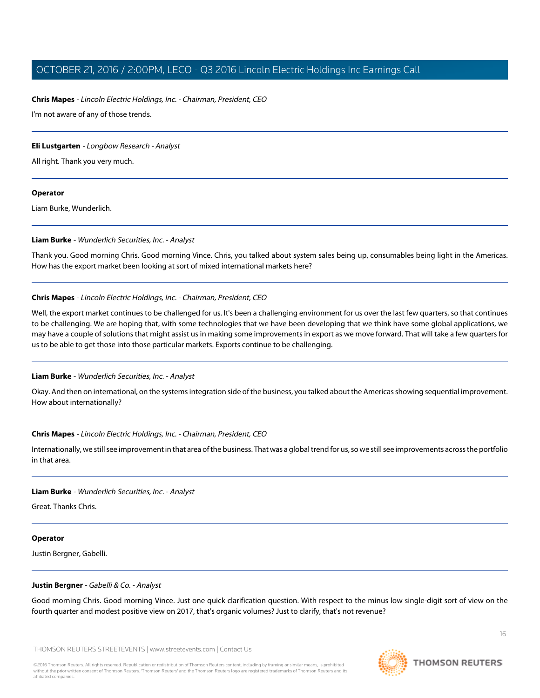#### **Chris Mapes** - Lincoln Electric Holdings, Inc. - Chairman, President, CEO

I'm not aware of any of those trends.

#### **Eli Lustgarten** - Longbow Research - Analyst

All right. Thank you very much.

#### **Operator**

<span id="page-15-0"></span>Liam Burke, Wunderlich.

#### **Liam Burke** - Wunderlich Securities, Inc. - Analyst

Thank you. Good morning Chris. Good morning Vince. Chris, you talked about system sales being up, consumables being light in the Americas. How has the export market been looking at sort of mixed international markets here?

#### **Chris Mapes** - Lincoln Electric Holdings, Inc. - Chairman, President, CEO

Well, the export market continues to be challenged for us. It's been a challenging environment for us over the last few quarters, so that continues to be challenging. We are hoping that, with some technologies that we have been developing that we think have some global applications, we may have a couple of solutions that might assist us in making some improvements in export as we move forward. That will take a few quarters for us to be able to get those into those particular markets. Exports continue to be challenging.

#### **Liam Burke** - Wunderlich Securities, Inc. - Analyst

Okay. And then on international, on the systems integration side of the business, you talked about the Americas showing sequential improvement. How about internationally?

#### **Chris Mapes** - Lincoln Electric Holdings, Inc. - Chairman, President, CEO

Internationally, we still see improvement in that area of the business. That was a global trend for us, so we still see improvements across the portfolio in that area.

#### **Liam Burke** - Wunderlich Securities, Inc. - Analyst

Great. Thanks Chris.

#### <span id="page-15-1"></span>**Operator**

Justin Bergner, Gabelli.

#### **Justin Bergner** - Gabelli & Co. - Analyst

Good morning Chris. Good morning Vince. Just one quick clarification question. With respect to the minus low single-digit sort of view on the fourth quarter and modest positive view on 2017, that's organic volumes? Just to clarify, that's not revenue?

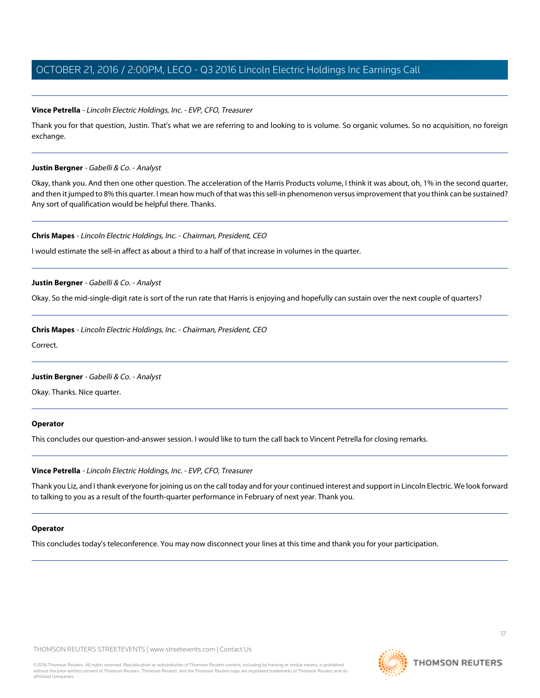#### **Vince Petrella** - Lincoln Electric Holdings, Inc. - EVP, CFO, Treasurer

Thank you for that question, Justin. That's what we are referring to and looking to is volume. So organic volumes. So no acquisition, no foreign exchange.

#### **Justin Bergner** - Gabelli & Co. - Analyst

Okay, thank you. And then one other question. The acceleration of the Harris Products volume, I think it was about, oh, 1% in the second quarter, and then it jumped to 8% this quarter. I mean how much of that was this sell-in phenomenon versus improvement that you think can be sustained? Any sort of qualification would be helpful there. Thanks.

#### **Chris Mapes** - Lincoln Electric Holdings, Inc. - Chairman, President, CEO

I would estimate the sell-in affect as about a third to a half of that increase in volumes in the quarter.

#### **Justin Bergner** - Gabelli & Co. - Analyst

Okay. So the mid-single-digit rate is sort of the run rate that Harris is enjoying and hopefully can sustain over the next couple of quarters?

#### **Chris Mapes** - Lincoln Electric Holdings, Inc. - Chairman, President, CEO

Correct.

#### **Justin Bergner** - Gabelli & Co. - Analyst

Okay. Thanks. Nice quarter.

#### **Operator**

This concludes our question-and-answer session. I would like to turn the call back to Vincent Petrella for closing remarks.

#### **Vince Petrella** - Lincoln Electric Holdings, Inc. - EVP, CFO, Treasurer

Thank you Liz, and I thank everyone for joining us on the call today and for your continued interest and support in Lincoln Electric. We look forward to talking to you as a result of the fourth-quarter performance in February of next year. Thank you.

#### **Operator**

This concludes today's teleconference. You may now disconnect your lines at this time and thank you for your participation.